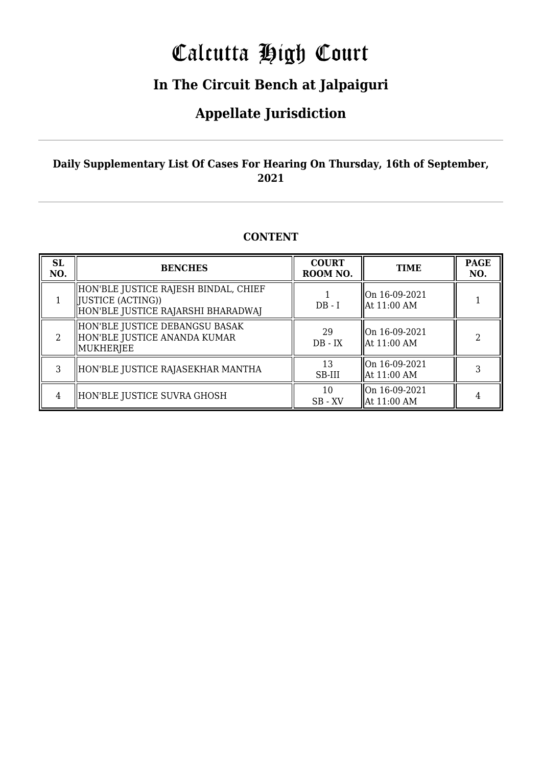# Calcutta High Court

### **In The Circuit Bench at Jalpaiguri**

### **Appellate Jurisdiction**

#### **Daily Supplementary List Of Cases For Hearing On Thursday, 16th of September, 2021**

#### **CONTENT**

| <b>SL</b><br>NO. | <b>BENCHES</b>                                                                                   | <b>COURT</b><br>ROOM NO. | <b>TIME</b>                              | <b>PAGE</b><br>NO. |
|------------------|--------------------------------------------------------------------------------------------------|--------------------------|------------------------------------------|--------------------|
|                  | HON'BLE JUSTICE RAJESH BINDAL, CHIEF<br>[JUSTICE (ACTING))<br>HON'BLE JUSTICE RAJARSHI BHARADWAJ | $DB - I$                 | On 16-09-2021<br>$\parallel$ At 11:00 AM |                    |
|                  | HON'BLE JUSTICE DEBANGSU BASAK<br>HON'BLE JUSTICE ANANDA KUMAR<br>MUKHERJEE                      | 29<br>$DB - IX$          | $\ $ On 16-09-2021<br>llAt 11:00 AM      |                    |
| 3                | HON'BLE JUSTICE RAJASEKHAR MANTHA                                                                | 13<br>SB-III             | llOn 16-09-2021<br>  At 11:00 AM         |                    |
| 4                | HON'BLE JUSTICE SUVRA GHOSH                                                                      | 10<br>$SB$ - $XV$        | On 16-09-2021<br>  At 11:00 AM           |                    |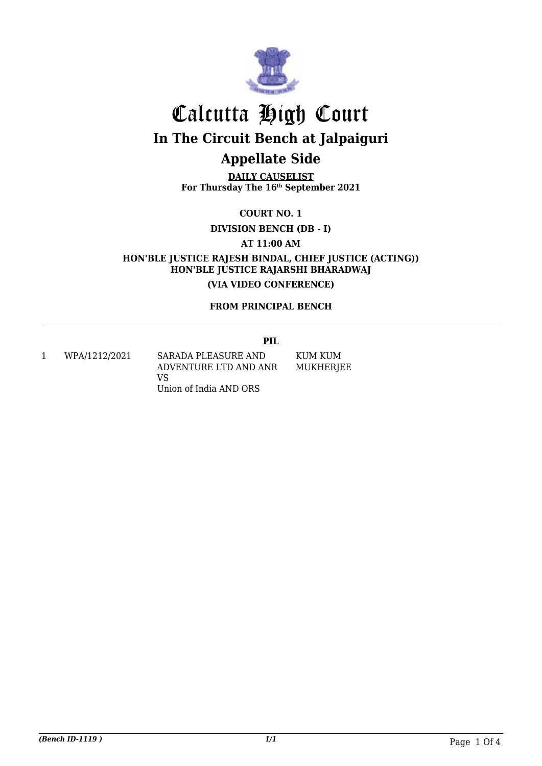

**DAILY CAUSELIST For Thursday The 16th September 2021**

**COURT NO. 1**

**DIVISION BENCH (DB - I)**

**AT 11:00 AM**

**HON'BLE JUSTICE RAJESH BINDAL, CHIEF JUSTICE (ACTING)) HON'BLE JUSTICE RAJARSHI BHARADWAJ (VIA VIDEO CONFERENCE)**

#### **FROM PRINCIPAL BENCH**

#### **PIL**

1 WPA/1212/2021 SARADA PLEASURE AND ADVENTURE LTD AND ANR VS Union of India AND ORS

KUM KUM MUKHERJEE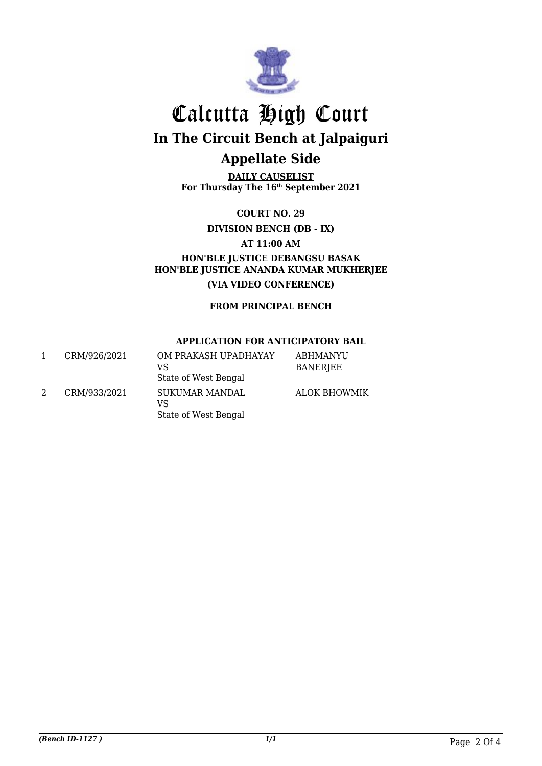

**DAILY CAUSELIST For Thursday The 16th September 2021**

**COURT NO. 29**

**DIVISION BENCH (DB - IX)**

**AT 11:00 AM**

**HON'BLE JUSTICE DEBANGSU BASAK HON'BLE JUSTICE ANANDA KUMAR MUKHERJEE (VIA VIDEO CONFERENCE)**

**FROM PRINCIPAL BENCH**

#### **APPLICATION FOR ANTICIPATORY BAIL**

| CRM/926/2021 | OM PRAKASH UPADHAYAY<br>VS<br>State of West Bengal | ABHMANYU<br><b>BANERJEE</b> |
|--------------|----------------------------------------------------|-----------------------------|
| CRM/933/2021 | SUKUMAR MANDAL<br>VS<br>State of West Bengal       | <b>ALOK BHOWMIK</b>         |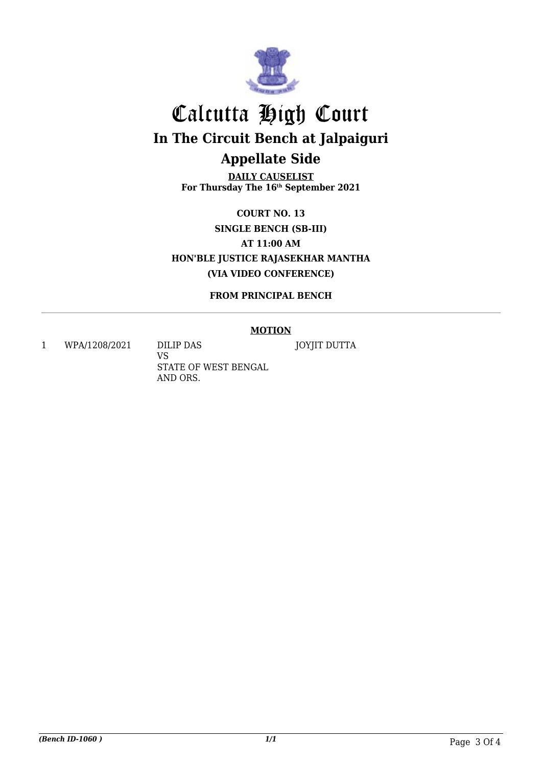

**DAILY CAUSELIST For Thursday The 16th September 2021**

**COURT NO. 13 SINGLE BENCH (SB-III) AT 11:00 AM HON'BLE JUSTICE RAJASEKHAR MANTHA (VIA VIDEO CONFERENCE)**

**FROM PRINCIPAL BENCH**

#### **MOTION**

1 WPA/1208/2021 DILIP DAS

VS STATE OF WEST BENGAL AND ORS.

JOYJIT DUTTA